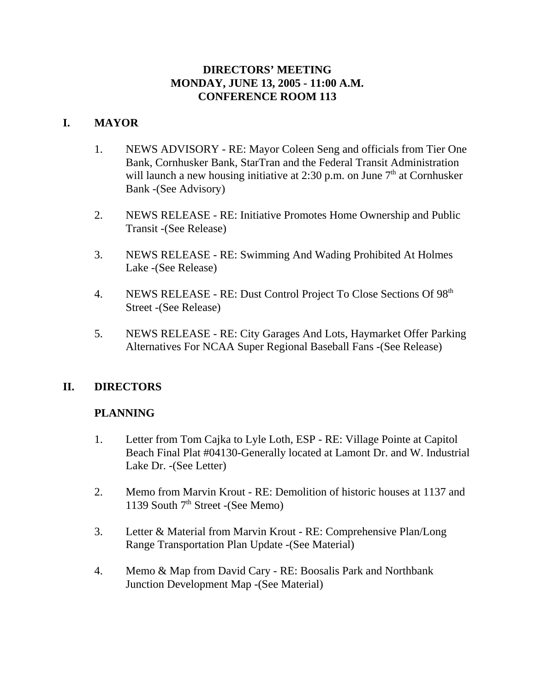## **DIRECTORS' MEETING MONDAY, JUNE 13, 2005 - 11:00 A.M. CONFERENCE ROOM 113**

## **I. MAYOR**

- 1. NEWS ADVISORY RE: Mayor Coleen Seng and officials from Tier One Bank, Cornhusker Bank, StarTran and the Federal Transit Administration will launch a new housing initiative at 2:30 p.m. on June  $7<sup>th</sup>$  at Cornhusker Bank -(See Advisory)
- 2. NEWS RELEASE RE: Initiative Promotes Home Ownership and Public Transit -(See Release)
- 3. NEWS RELEASE RE: Swimming And Wading Prohibited At Holmes Lake -(See Release)
- 4. NEWS RELEASE RE: Dust Control Project To Close Sections Of 98<sup>th</sup> Street -(See Release)
- 5. NEWS RELEASE RE: City Garages And Lots, Haymarket Offer Parking Alternatives For NCAA Super Regional Baseball Fans -(See Release)

# **II. DIRECTORS**

## **PLANNING**

- 1. Letter from Tom Cajka to Lyle Loth, ESP RE: Village Pointe at Capitol Beach Final Plat #04130-Generally located at Lamont Dr. and W. Industrial Lake Dr. -(See Letter)
- 2. Memo from Marvin Krout RE: Demolition of historic houses at 1137 and 1139 South  $7<sup>th</sup>$  Street -(See Memo)
- 3. Letter & Material from Marvin Krout RE: Comprehensive Plan/Long Range Transportation Plan Update -(See Material)
- 4. Memo & Map from David Cary RE: Boosalis Park and Northbank Junction Development Map -(See Material)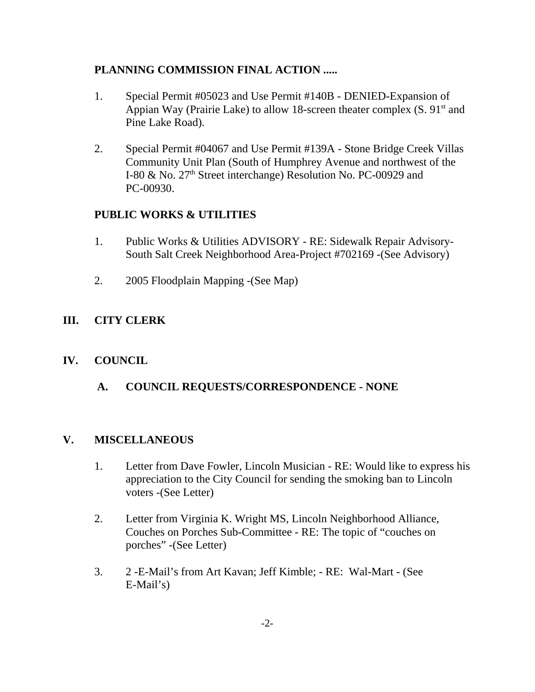# **PLANNING COMMISSION FINAL ACTION .....**

- 1. Special Permit #05023 and Use Permit #140B DENIED-Expansion of Appian Way (Prairie Lake) to allow 18-screen theater complex  $(S. 91<sup>st</sup>$  and Pine Lake Road).
- 2. Special Permit #04067 and Use Permit #139A Stone Bridge Creek Villas Community Unit Plan (South of Humphrey Avenue and northwest of the I-80 & No. 27<sup>th</sup> Street interchange) Resolution No. PC-00929 and PC-00930.

# **PUBLIC WORKS & UTILITIES**

- 1. Public Works & Utilities ADVISORY RE: Sidewalk Repair Advisory-South Salt Creek Neighborhood Area-Project #702169 -(See Advisory)
- 2. 2005 Floodplain Mapping -(See Map)

# **III. CITY CLERK**

# **IV. COUNCIL**

 **A. COUNCIL REQUESTS/CORRESPONDENCE - NONE**

## **V. MISCELLANEOUS**

- 1. Letter from Dave Fowler, Lincoln Musician RE: Would like to express his appreciation to the City Council for sending the smoking ban to Lincoln voters -(See Letter)
- 2. Letter from Virginia K. Wright MS, Lincoln Neighborhood Alliance, Couches on Porches Sub-Committee - RE: The topic of "couches on porches" -(See Letter)
- 3. 2 -E-Mail's from Art Kavan; Jeff Kimble; RE: Wal-Mart (See E-Mail's)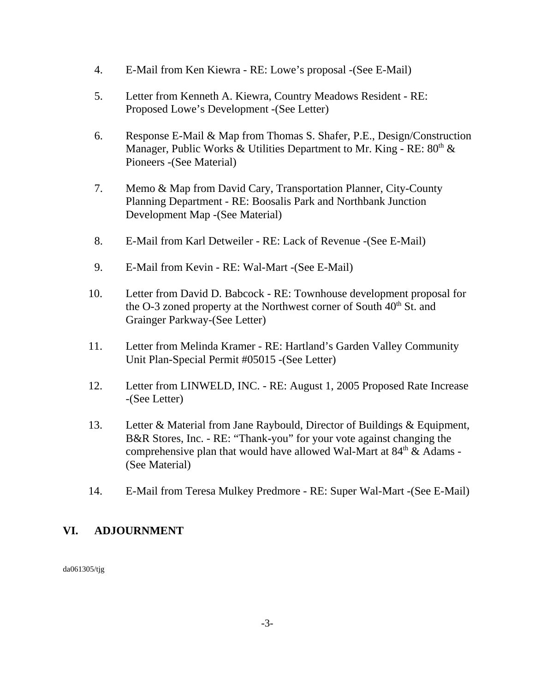- 4. E-Mail from Ken Kiewra RE: Lowe's proposal -(See E-Mail)
- 5. Letter from Kenneth A. Kiewra, Country Meadows Resident RE: Proposed Lowe's Development -(See Letter)
- 6. Response E-Mail & Map from Thomas S. Shafer, P.E., Design/Construction Manager, Public Works & Utilities Department to Mr. King - RE:  $80<sup>th</sup>$  & Pioneers -(See Material)
- 7. Memo & Map from David Cary, Transportation Planner, City-County Planning Department - RE: Boosalis Park and Northbank Junction Development Map -(See Material)
- 8. E-Mail from Karl Detweiler RE: Lack of Revenue -(See E-Mail)
- 9. E-Mail from Kevin RE: Wal-Mart -(See E-Mail)
- 10. Letter from David D. Babcock RE: Townhouse development proposal for the O-3 zoned property at the Northwest corner of South  $40<sup>th</sup>$  St. and Grainger Parkway-(See Letter)
- 11. Letter from Melinda Kramer RE: Hartland's Garden Valley Community Unit Plan-Special Permit #05015 -(See Letter)
- 12. Letter from LINWELD, INC. RE: August 1, 2005 Proposed Rate Increase -(See Letter)
- 13. Letter & Material from Jane Raybould, Director of Buildings & Equipment, B&R Stores, Inc. - RE: "Thank-you" for your vote against changing the comprehensive plan that would have allowed Wal-Mart at  $84<sup>th</sup> \&$  Adams -(See Material)
- 14. E-Mail from Teresa Mulkey Predmore RE: Super Wal-Mart -(See E-Mail)

## **VI. ADJOURNMENT**

da061305/tjg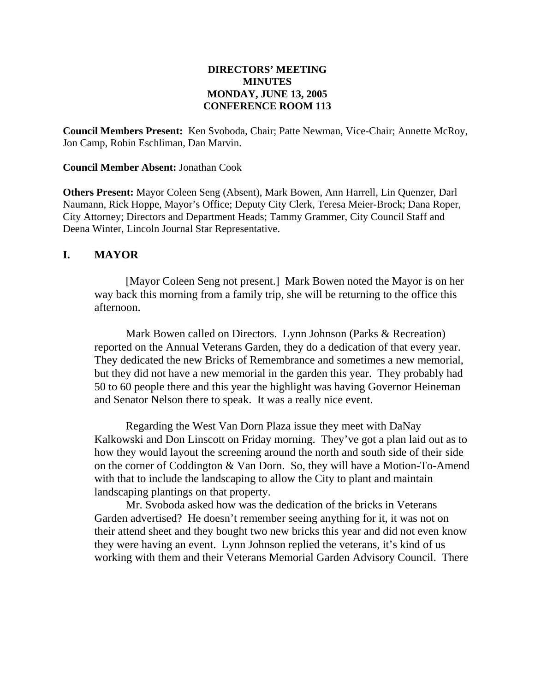#### **DIRECTORS' MEETING MINUTES MONDAY, JUNE 13, 2005 CONFERENCE ROOM 113**

**Council Members Present:** Ken Svoboda, Chair; Patte Newman, Vice-Chair; Annette McRoy, Jon Camp, Robin Eschliman, Dan Marvin.

#### **Council Member Absent:** Jonathan Cook

**Others Present:** Mayor Coleen Seng (Absent), Mark Bowen, Ann Harrell, Lin Quenzer, Darl Naumann, Rick Hoppe, Mayor's Office; Deputy City Clerk, Teresa Meier-Brock; Dana Roper, City Attorney; Directors and Department Heads; Tammy Grammer, City Council Staff and Deena Winter, Lincoln Journal Star Representative.

#### **I. MAYOR**

[Mayor Coleen Seng not present.] Mark Bowen noted the Mayor is on her way back this morning from a family trip, she will be returning to the office this afternoon.

Mark Bowen called on Directors. Lynn Johnson (Parks & Recreation) reported on the Annual Veterans Garden, they do a dedication of that every year. They dedicated the new Bricks of Remembrance and sometimes a new memorial, but they did not have a new memorial in the garden this year. They probably had 50 to 60 people there and this year the highlight was having Governor Heineman and Senator Nelson there to speak. It was a really nice event.

Regarding the West Van Dorn Plaza issue they meet with DaNay Kalkowski and Don Linscott on Friday morning. They've got a plan laid out as to how they would layout the screening around the north and south side of their side on the corner of Coddington & Van Dorn. So, they will have a Motion-To-Amend with that to include the landscaping to allow the City to plant and maintain landscaping plantings on that property.

Mr. Svoboda asked how was the dedication of the bricks in Veterans Garden advertised? He doesn't remember seeing anything for it, it was not on their attend sheet and they bought two new bricks this year and did not even know they were having an event. Lynn Johnson replied the veterans, it's kind of us working with them and their Veterans Memorial Garden Advisory Council. There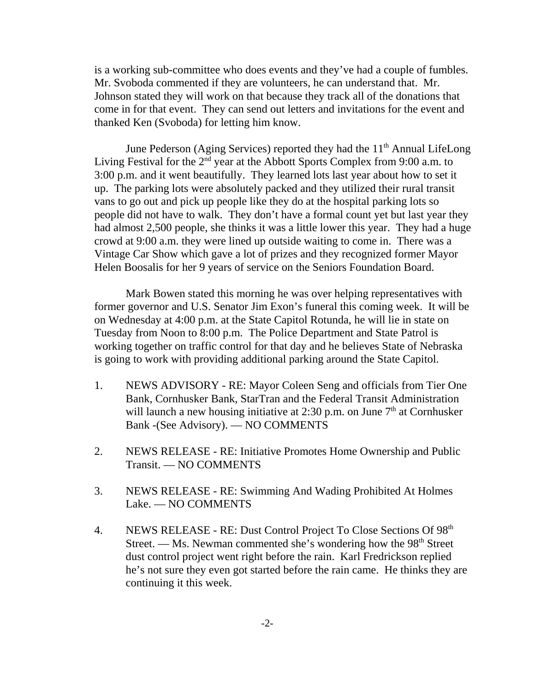is a working sub-committee who does events and they've had a couple of fumbles. Mr. Svoboda commented if they are volunteers, he can understand that. Mr. Johnson stated they will work on that because they track all of the donations that come in for that event. They can send out letters and invitations for the event and thanked Ken (Svoboda) for letting him know.

June Pederson (Aging Services) reported they had the  $11<sup>th</sup>$  Annual LifeLong Living Festival for the  $2<sup>nd</sup>$  year at the Abbott Sports Complex from 9:00 a.m. to 3:00 p.m. and it went beautifully. They learned lots last year about how to set it up. The parking lots were absolutely packed and they utilized their rural transit vans to go out and pick up people like they do at the hospital parking lots so people did not have to walk. They don't have a formal count yet but last year they had almost 2,500 people, she thinks it was a little lower this year. They had a huge crowd at 9:00 a.m. they were lined up outside waiting to come in. There was a Vintage Car Show which gave a lot of prizes and they recognized former Mayor Helen Boosalis for her 9 years of service on the Seniors Foundation Board.

Mark Bowen stated this morning he was over helping representatives with former governor and U.S. Senator Jim Exon's funeral this coming week. It will be on Wednesday at 4:00 p.m. at the State Capitol Rotunda, he will lie in state on Tuesday from Noon to 8:00 p.m. The Police Department and State Patrol is working together on traffic control for that day and he believes State of Nebraska is going to work with providing additional parking around the State Capitol.

- 1. NEWS ADVISORY RE: Mayor Coleen Seng and officials from Tier One Bank, Cornhusker Bank, StarTran and the Federal Transit Administration will launch a new housing initiative at 2:30 p.m. on June  $7<sup>th</sup>$  at Cornhusker Bank -(See Advisory). — NO COMMENTS
- 2. NEWS RELEASE RE: Initiative Promotes Home Ownership and Public Transit. — NO COMMENTS
- 3. NEWS RELEASE RE: Swimming And Wading Prohibited At Holmes Lake. — NO COMMENTS
- 4. NEWS RELEASE RE: Dust Control Project To Close Sections Of 98th Street. — Ms. Newman commented she's wondering how the  $98<sup>th</sup>$  Street dust control project went right before the rain. Karl Fredrickson replied he's not sure they even got started before the rain came. He thinks they are continuing it this week.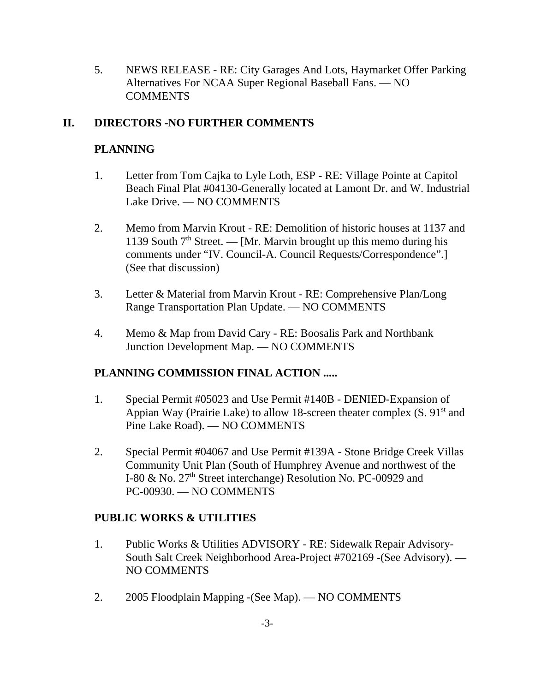5. NEWS RELEASE - RE: City Garages And Lots, Haymarket Offer Parking Alternatives For NCAA Super Regional Baseball Fans. — NO COMMENTS

# **II. DIRECTORS -NO FURTHER COMMENTS**

# **PLANNING**

- 1. Letter from Tom Cajka to Lyle Loth, ESP RE: Village Pointe at Capitol Beach Final Plat #04130-Generally located at Lamont Dr. and W. Industrial Lake Drive. — NO COMMENTS
- 2. Memo from Marvin Krout RE: Demolition of historic houses at 1137 and 1139 South  $7<sup>th</sup>$  Street. — [Mr. Marvin brought up this memo during his comments under "IV. Council-A. Council Requests/Correspondence".] (See that discussion)
- 3. Letter & Material from Marvin Krout RE: Comprehensive Plan/Long Range Transportation Plan Update. — NO COMMENTS
- 4. Memo & Map from David Cary RE: Boosalis Park and Northbank Junction Development Map. — NO COMMENTS

# **PLANNING COMMISSION FINAL ACTION .....**

- 1. Special Permit #05023 and Use Permit #140B DENIED-Expansion of Appian Way (Prairie Lake) to allow 18-screen theater complex  $(S. 91<sup>st</sup>$  and Pine Lake Road). — NO COMMENTS
- 2. Special Permit #04067 and Use Permit #139A Stone Bridge Creek Villas Community Unit Plan (South of Humphrey Avenue and northwest of the I-80 & No. 27<sup>th</sup> Street interchange) Resolution No. PC-00929 and PC-00930. — NO COMMENTS

# **PUBLIC WORKS & UTILITIES**

- 1. Public Works & Utilities ADVISORY RE: Sidewalk Repair Advisory-South Salt Creek Neighborhood Area-Project #702169 -(See Advisory). — NO COMMENTS
- 2. 2005 Floodplain Mapping -(See Map). NO COMMENTS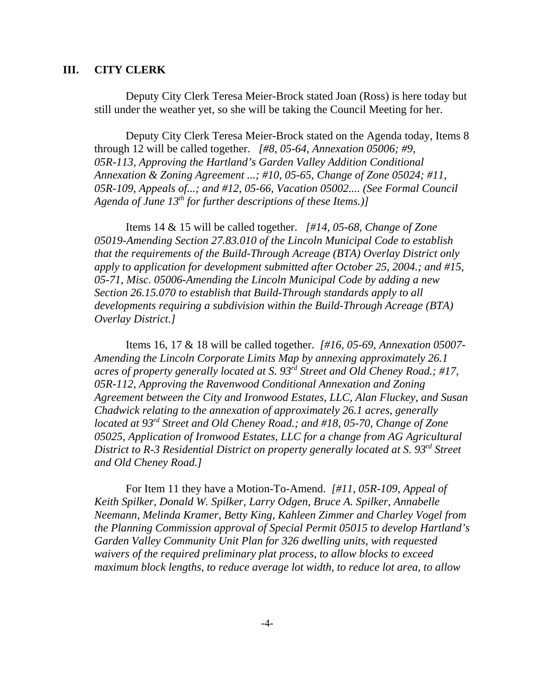#### **III. CITY CLERK**

Deputy City Clerk Teresa Meier-Brock stated Joan (Ross) is here today but still under the weather yet, so she will be taking the Council Meeting for her.

Deputy City Clerk Teresa Meier-Brock stated on the Agenda today, Items 8 through 12 will be called together. *[#8, 05-64, Annexation 05006; #9, 05R-113, Approving the Hartland's Garden Valley Addition Conditional Annexation & Zoning Agreement ...; #10, 05-65, Change of Zone 05024; #11, 05R-109, Appeals of...; and #12, 05-66, Vacation 05002.... (See Formal Council Agenda of June 13th for further descriptions of these Items.)]* 

Items 14 & 15 will be called together. *[#14, 05-68, Change of Zone 05019-Amending Section 27.83.010 of the Lincoln Municipal Code to establish that the requirements of the Build-Through Acreage (BTA) Overlay District only apply to application for development submitted after October 25, 2004.; and #15, 05-71, Misc. 05006-Amending the Lincoln Municipal Code by adding a new Section 26.15.070 to establish that Build-Through standards apply to all developments requiring a subdivision within the Build-Through Acreage (BTA) Overlay District.]* 

Items 16, 17 & 18 will be called together. *[#16, 05-69, Annexation 05007- Amending the Lincoln Corporate Limits Map by annexing approximately 26.1 acres of property generally located at S. 93rd Street and Old Cheney Road.; #17, 05R-112, Approving the Ravenwood Conditional Annexation and Zoning Agreement between the City and Ironwood Estates, LLC, Alan Fluckey, and Susan Chadwick relating to the annexation of approximately 26.1 acres, generally located at 93rd Street and Old Cheney Road.; and #18, 05-70, Change of Zone 05025, Application of Ironwood Estates, LLC for a change from AG Agricultural District to R-3 Residential District on property generally located at S. 93rd Street and Old Cheney Road.]*

For Item 11 they have a Motion-To-Amend. *[#11, 05R-109, Appeal of Keith Spilker, Donald W. Spilker, Larry Odgen, Bruce A. Spilker, Annabelle Neemann, Melinda Kramer, Betty King, Kahleen Zimmer and Charley Vogel from the Planning Commission approval of Special Permit 05015 to develop Hartland's Garden Valley Community Unit Plan for 326 dwelling units, with requested waivers of the required preliminary plat process, to allow blocks to exceed maximum block lengths, to reduce average lot width, to reduce lot area, to allow*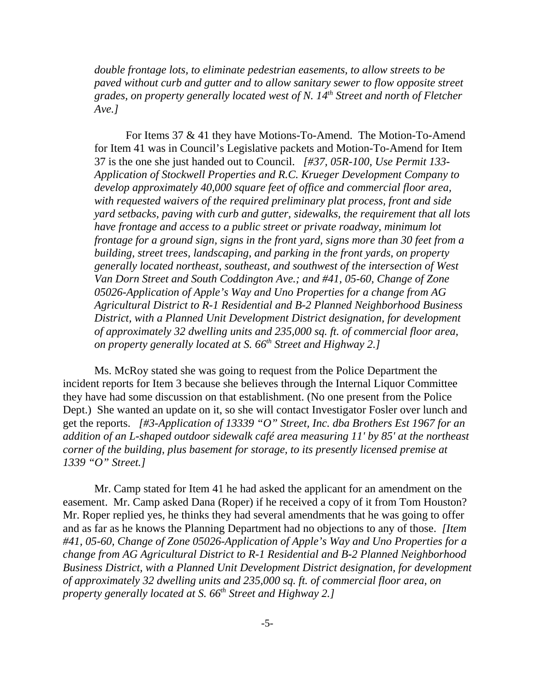*double frontage lots, to eliminate pedestrian easements, to allow streets to be paved without curb and gutter and to allow sanitary sewer to flow opposite street grades, on property generally located west of N. 14th Street and north of Fletcher Ave.]* 

For Items 37 & 41 they have Motions-To-Amend. The Motion-To-Amend for Item 41 was in Council's Legislative packets and Motion-To-Amend for Item 37 is the one she just handed out to Council. *[#37, 05R-100, Use Permit 133- Application of Stockwell Properties and R.C. Krueger Development Company to develop approximately 40,000 square feet of office and commercial floor area, with requested waivers of the required preliminary plat process, front and side yard setbacks, paving with curb and gutter, sidewalks, the requirement that all lots have frontage and access to a public street or private roadway, minimum lot frontage for a ground sign, signs in the front yard, signs more than 30 feet from a building, street trees, landscaping, and parking in the front yards, on property generally located northeast, southeast, and southwest of the intersection of West Van Dorn Street and South Coddington Ave.; and #41, 05-60, Change of Zone 05026-Application of Apple's Way and Uno Properties for a change from AG Agricultural District to R-1 Residential and B-2 Planned Neighborhood Business District, with a Planned Unit Development District designation, for development of approximately 32 dwelling units and 235,000 sq. ft. of commercial floor area, on property generally located at S. 66th Street and Highway 2.]* 

Ms. McRoy stated she was going to request from the Police Department the incident reports for Item 3 because she believes through the Internal Liquor Committee they have had some discussion on that establishment. (No one present from the Police Dept.) She wanted an update on it, so she will contact Investigator Fosler over lunch and get the reports. *[#3-Application of 13339 "O" Street, Inc. dba Brothers Est 1967 for an addition of an L-shaped outdoor sidewalk café area measuring 11' by 85' at the northeast corner of the building, plus basement for storage, to its presently licensed premise at 1339 "O" Street.]* 

Mr. Camp stated for Item 41 he had asked the applicant for an amendment on the easement. Mr. Camp asked Dana (Roper) if he received a copy of it from Tom Houston? Mr. Roper replied yes, he thinks they had several amendments that he was going to offer and as far as he knows the Planning Department had no objections to any of those. *[Item #41, 05-60, Change of Zone 05026-Application of Apple's Way and Uno Properties for a change from AG Agricultural District to R-1 Residential and B-2 Planned Neighborhood Business District, with a Planned Unit Development District designation, for development of approximately 32 dwelling units and 235,000 sq. ft. of commercial floor area, on property generally located at S. 66th Street and Highway 2.]*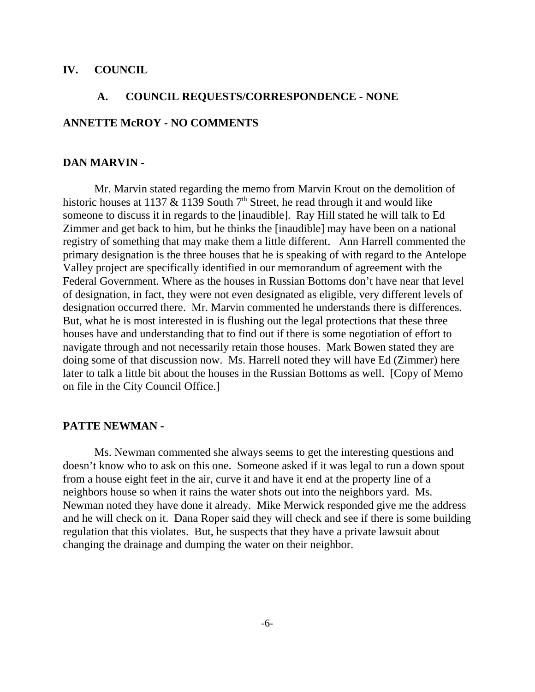#### **IV. COUNCIL**

# **A. COUNCIL REQUESTS/CORRESPONDENCE - NONE ANNETTE McROY - NO COMMENTS**

#### **DAN MARVIN -**

Mr. Marvin stated regarding the memo from Marvin Krout on the demolition of historic houses at 1137  $\&$  1139 South 7<sup>th</sup> Street, he read through it and would like someone to discuss it in regards to the [inaudible]. Ray Hill stated he will talk to Ed Zimmer and get back to him, but he thinks the [inaudible] may have been on a national registry of something that may make them a little different. Ann Harrell commented the primary designation is the three houses that he is speaking of with regard to the Antelope Valley project are specifically identified in our memorandum of agreement with the Federal Government. Where as the houses in Russian Bottoms don't have near that level of designation, in fact, they were not even designated as eligible, very different levels of designation occurred there. Mr. Marvin commented he understands there is differences. But, what he is most interested in is flushing out the legal protections that these three houses have and understanding that to find out if there is some negotiation of effort to navigate through and not necessarily retain those houses. Mark Bowen stated they are doing some of that discussion now. Ms. Harrell noted they will have Ed (Zimmer) here later to talk a little bit about the houses in the Russian Bottoms as well. [Copy of Memo on file in the City Council Office.]

#### **PATTE NEWMAN -**

Ms. Newman commented she always seems to get the interesting questions and doesn't know who to ask on this one. Someone asked if it was legal to run a down spout from a house eight feet in the air, curve it and have it end at the property line of a neighbors house so when it rains the water shots out into the neighbors yard. Ms. Newman noted they have done it already. Mike Merwick responded give me the address and he will check on it. Dana Roper said they will check and see if there is some building regulation that this violates. But, he suspects that they have a private lawsuit about changing the drainage and dumping the water on their neighbor.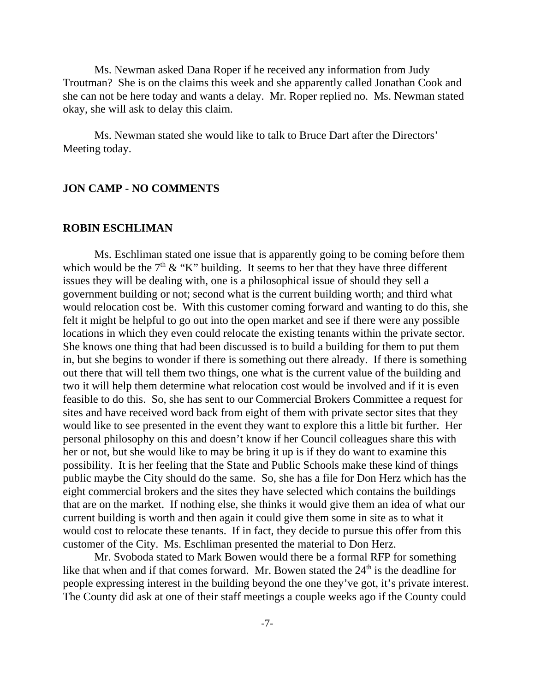Ms. Newman asked Dana Roper if he received any information from Judy Troutman? She is on the claims this week and she apparently called Jonathan Cook and she can not be here today and wants a delay. Mr. Roper replied no. Ms. Newman stated okay, she will ask to delay this claim.

Ms. Newman stated she would like to talk to Bruce Dart after the Directors' Meeting today.

### **JON CAMP - NO COMMENTS**

#### **ROBIN ESCHLIMAN**

Ms. Eschliman stated one issue that is apparently going to be coming before them which would be the  $7<sup>th</sup>$  & "K" building. It seems to her that they have three different issues they will be dealing with, one is a philosophical issue of should they sell a government building or not; second what is the current building worth; and third what would relocation cost be. With this customer coming forward and wanting to do this, she felt it might be helpful to go out into the open market and see if there were any possible locations in which they even could relocate the existing tenants within the private sector. She knows one thing that had been discussed is to build a building for them to put them in, but she begins to wonder if there is something out there already. If there is something out there that will tell them two things, one what is the current value of the building and two it will help them determine what relocation cost would be involved and if it is even feasible to do this. So, she has sent to our Commercial Brokers Committee a request for sites and have received word back from eight of them with private sector sites that they would like to see presented in the event they want to explore this a little bit further. Her personal philosophy on this and doesn't know if her Council colleagues share this with her or not, but she would like to may be bring it up is if they do want to examine this possibility. It is her feeling that the State and Public Schools make these kind of things public maybe the City should do the same. So, she has a file for Don Herz which has the eight commercial brokers and the sites they have selected which contains the buildings that are on the market. If nothing else, she thinks it would give them an idea of what our current building is worth and then again it could give them some in site as to what it would cost to relocate these tenants. If in fact, they decide to pursue this offer from this customer of the City. Ms. Eschliman presented the material to Don Herz.

Mr. Svoboda stated to Mark Bowen would there be a formal RFP for something like that when and if that comes forward. Mr. Bowen stated the  $24<sup>th</sup>$  is the deadline for people expressing interest in the building beyond the one they've got, it's private interest. The County did ask at one of their staff meetings a couple weeks ago if the County could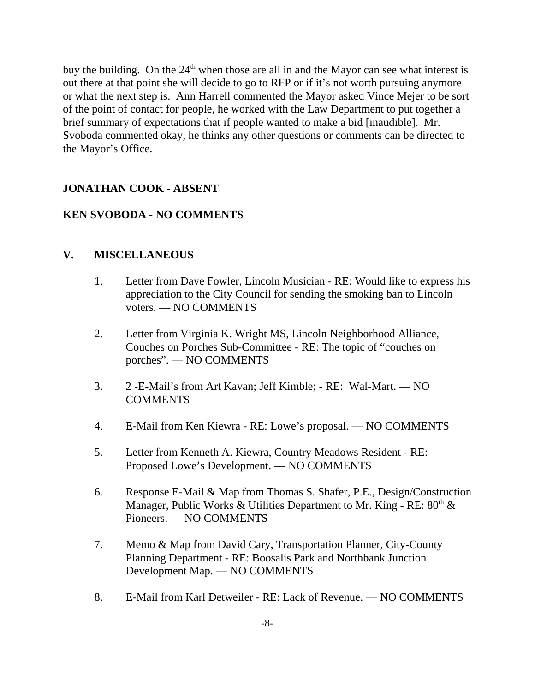buy the building. On the  $24<sup>th</sup>$  when those are all in and the Mayor can see what interest is out there at that point she will decide to go to RFP or if it's not worth pursuing anymore or what the next step is. Ann Harrell commented the Mayor asked Vince Mejer to be sort of the point of contact for people, he worked with the Law Department to put together a brief summary of expectations that if people wanted to make a bid [inaudible]. Mr. Svoboda commented okay, he thinks any other questions or comments can be directed to the Mayor's Office.

# **JONATHAN COOK - ABSENT**

## **KEN SVOBODA - NO COMMENTS**

## **V. MISCELLANEOUS**

- 1. Letter from Dave Fowler, Lincoln Musician RE: Would like to express his appreciation to the City Council for sending the smoking ban to Lincoln voters. — NO COMMENTS
- 2. Letter from Virginia K. Wright MS, Lincoln Neighborhood Alliance, Couches on Porches Sub-Committee - RE: The topic of "couches on porches". — NO COMMENTS
- 3. 2 -E-Mail's from Art Kavan; Jeff Kimble; RE: Wal-Mart. NO COMMENTS
- 4. E-Mail from Ken Kiewra RE: Lowe's proposal. NO COMMENTS
- 5. Letter from Kenneth A. Kiewra, Country Meadows Resident RE: Proposed Lowe's Development. — NO COMMENTS
- 6. Response E-Mail & Map from Thomas S. Shafer, P.E., Design/Construction Manager, Public Works & Utilities Department to Mr. King - RE:  $80^{th}$  & Pioneers. — NO COMMENTS
- 7. Memo & Map from David Cary, Transportation Planner, City-County Planning Department - RE: Boosalis Park and Northbank Junction Development Map. — NO COMMENTS
- 8. E-Mail from Karl Detweiler RE: Lack of Revenue. NO COMMENTS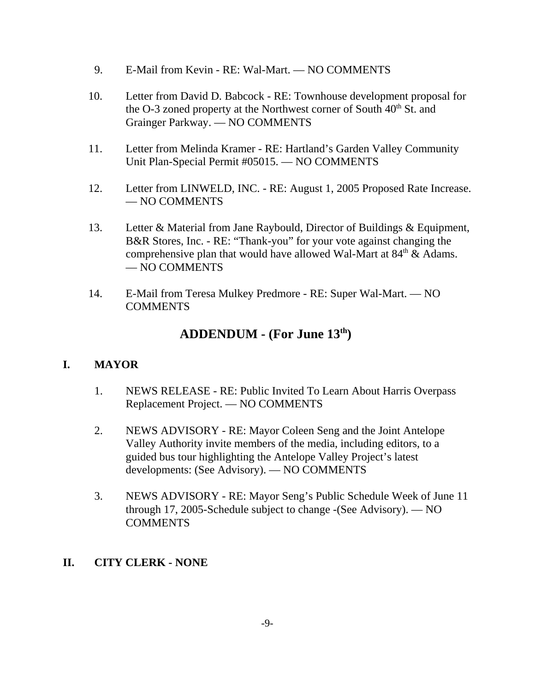- 9. E-Mail from Kevin RE: Wal-Mart. NO COMMENTS
- 10. Letter from David D. Babcock RE: Townhouse development proposal for the O-3 zoned property at the Northwest corner of South  $40<sup>th</sup>$  St. and Grainger Parkway. — NO COMMENTS
- 11. Letter from Melinda Kramer RE: Hartland's Garden Valley Community Unit Plan-Special Permit #05015. — NO COMMENTS
- 12. Letter from LINWELD, INC. RE: August 1, 2005 Proposed Rate Increase. — NO COMMENTS
- 13. Letter & Material from Jane Raybould, Director of Buildings & Equipment, B&R Stores, Inc. - RE: "Thank-you" for your vote against changing the comprehensive plan that would have allowed Wal-Mart at  $84<sup>th</sup>$  & Adams. — NO COMMENTS
- 14. E-Mail from Teresa Mulkey Predmore RE: Super Wal-Mart. NO **COMMENTS**

# **ADDENDUM - (For June 13th)**

# **I. MAYOR**

- 1. NEWS RELEASE RE: Public Invited To Learn About Harris Overpass Replacement Project. — NO COMMENTS
- 2. NEWS ADVISORY RE: Mayor Coleen Seng and the Joint Antelope Valley Authority invite members of the media, including editors, to a guided bus tour highlighting the Antelope Valley Project's latest developments: (See Advisory). — NO COMMENTS
- 3. NEWS ADVISORY RE: Mayor Seng's Public Schedule Week of June 11 through 17, 2005-Schedule subject to change -(See Advisory). — NO COMMENTS

## **II. CITY CLERK - NONE**